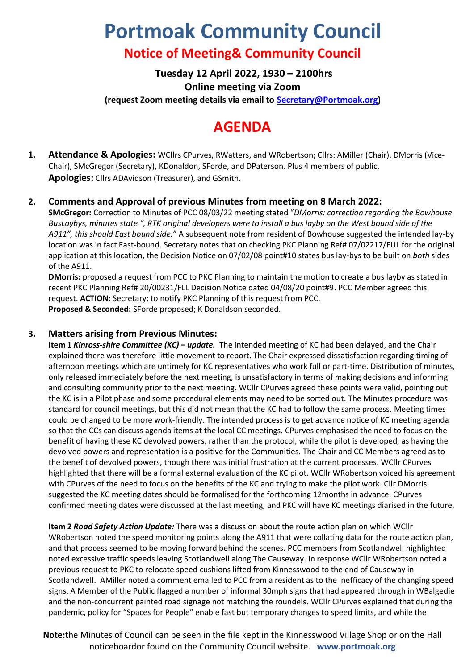# **Portmoak Community Council**

# **Notice of Meeting& Community Council**

**Tuesday 12 April 2022, 1930 – 2100hrs Online meeting via Zoom (request Zoom meeting details via email to [Secretary@Portmoak.org\)](mailto:Secretary@Portmoak.org)**

# **AGENDA**

**1. Attendance & Apologies:** WCllrs CPurves, RWatters, and WRobertson; Cllrs: AMiller (Chair), DMorris (Vice-Chair), SMcGregor (Secretary), KDonaldon, SForde, and DPaterson. Plus 4 members of public. **Apologies:** Cllrs ADAvidson (Treasurer), and GSmith.

# **2. Comments and Approval of previous Minutes from meeting on 8 March 2022:**

**SMcGregor:** Correction to Minutes of PCC 08/03/22 meeting stated "*DMorris: correction regarding the Bowhouse BusLaybys, minutes state ", RTK original developers were to install a bus layby on the West bound side of the A911", this should East bound side.*" A subsequent note from resident of Bowhouse suggested the intended lay-by location was in fact East-bound. Secretary notes that on checking PKC Planning Ref# 07/02217/FUL for the original application at this location, the Decision Notice on 07/02/08 point#10 states bus lay-bys to be built on *both* sides of the A911.

**DMorris:** proposed a request from PCC to PKC Planning to maintain the motion to create a bus layby as stated in recent PKC Planning Ref# 20/00231/FLL Decision Notice dated 04/08/20 point#9. PCC Member agreed this request. **ACTION:** Secretary: to notify PKC Planning of this request from PCC. **Proposed & Seconded:** SForde proposed; K Donaldson seconded.

#### **3. Matters arising from Previous Minutes:**

**Item 1** *Kinross-shire Committee (KC) – update.* The intended meeting of KC had been delayed, and the Chair explained there was therefore little movement to report. The Chair expressed dissatisfaction regarding timing of afternoon meetings which are untimely for KC representatives who work full or part-time. Distribution of minutes, only released immediately before the next meeting, is unsatisfactory in terms of making decisions and informing and consulting community prior to the next meeting. WCllr CPurves agreed these points were valid, pointing out the KC is in a Pilot phase and some procedural elements may need to be sorted out. The Minutes procedure was standard for council meetings, but this did not mean that the KC had to follow the same process. Meeting times could be changed to be more work-friendly. The intended process is to get advance notice of KC meeting agenda so that the CCs can discuss agenda items at the local CC meetings. CPurves emphasised the need to focus on the benefit of having these KC devolved powers, rather than the protocol, while the pilot is developed, as having the devolved powers and representation is a positive for the Communities. The Chair and CC Members agreed as to the benefit of devolved powers, though there was initial frustration at the current processes. WCllr CPurves highlighted that there will be a formal external evaluation of the KC pilot. WCllr WRobertson voiced his agreement with CPurves of the need to focus on the benefits of the KC and trying to make the pilot work. Cllr DMorris suggested the KC meeting dates should be formalised for the forthcoming 12months in advance. CPurves confirmed meeting dates were discussed at the last meeting, and PKC will have KC meetings diarised in the future.

**Item 2** *Road Safety Action Update:* There was a discussion about the route action plan on which WCllr WRobertson noted the speed monitoring points along the A911 that were collating data for the route action plan, and that process seemed to be moving forward behind the scenes. PCC members from Scotlandwell highlighted noted excessive traffic speeds leaving Scotlandwell along The Causeway. In response WCllr WRobertson noted a previous request to PKC to relocate speed cushions lifted from Kinnesswood to the end of Causeway in Scotlandwell. AMiller noted a comment emailed to PCC from a resident as to the inefficacy of the changing speed signs. A Member of the Public flagged a number of informal 30mph signs that had appeared through in WBalgedie and the non-concurrent painted road signage not matching the roundels. WCllr CPurves explained that during the pandemic, policy for "Spaces for People" enable fast but temporary changes to speed limits, and while the

**Note:**the Minutes of Council can be seen in the file kept in the Kinnesswood Village Shop or on the Hall noticeboardor found on the Community Council website. **www.portmoak.org**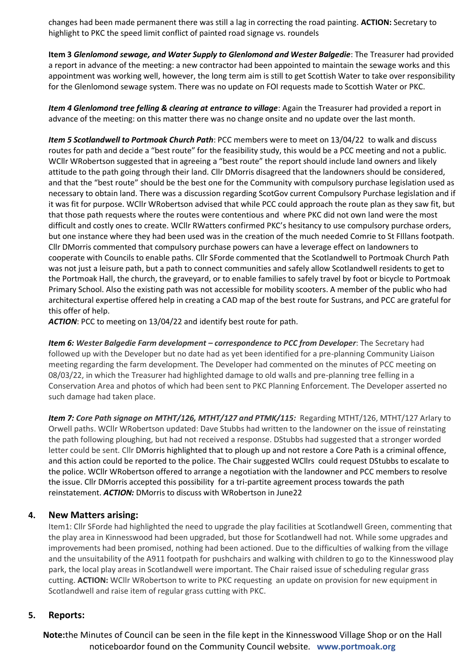changes had been made permanent there was still a lag in correcting the road painting. **ACTION:** Secretary to highlight to PKC the speed limit conflict of painted road signage vs. roundels

**Item 3** *Glenlomond sewage, and Water Supply to Glenlomond and Wester Balgedie*: The Treasurer had provided a report in advance of the meeting: a new contractor had been appointed to maintain the sewage works and this appointment was working well, however, the long term aim is still to get Scottish Water to take over responsibility for the Glenlomond sewage system. There was no update on FOI requests made to Scottish Water or PKC.

*Item 4 Glenlomond tree felling & clearing at entrance to village*: Again the Treasurer had provided a report in advance of the meeting: on this matter there was no change onsite and no update over the last month.

*Item 5 Scotlandwell to Portmoak Church Path*: PCC members were to meet on 13/04/22 to walk and discuss routes for path and decide a "best route" for the feasibility study, this would be a PCC meeting and not a public. WCllr WRobertson suggested that in agreeing a "best route" the report should include land owners and likely attitude to the path going through their land. Cllr DMorris disagreed that the landowners should be considered, and that the "best route" should be the best one for the Community with compulsory purchase legislation used as necessary to obtain land. There was a discussion regarding ScotGov current Compulsory Purchase legislation and if it was fit for purpose. WCllr WRobertson advised that while PCC could approach the route plan as they saw fit, but that those path requests where the routes were contentious and where PKC did not own land were the most difficult and costly ones to create. WCllr RWatters confirmed PKC's hesitancy to use compulsory purchase orders, but one instance where they had been used was in the creation of the much needed Comrie to St FIllans footpath. Cllr DMorris commented that compulsory purchase powers can have a leverage effect on landowners to cooperate with Councils to enable paths. Cllr SForde commented that the Scotlandwell to Portmoak Church Path was not just a leisure path, but a path to connect communities and safely allow Scotlandwell residents to get to the Portmoak Hall, the church, the graveyard, or to enable families to safely travel by foot or bicycle to Portmoak Primary School. Also the existing path was not accessible for mobility scooters. A member of the public who had architectural expertise offered help in creating a CAD map of the best route for Sustrans, and PCC are grateful for this offer of help.

*ACTION*: PCC to meeting on 13/04/22 and identify best route for path.

*Item 6: Wester Balgedie Farm development – correspondence to PCC from Developer*: The Secretary had followed up with the Developer but no date had as yet been identified for a pre-planning Community Liaison meeting regarding the farm development. The Developer had commented on the minutes of PCC meeting on 08/03/22, in which the Treasurer had highlighted damage to old walls and pre-planning tree felling in a Conservation Area and photos of which had been sent to PKC Planning Enforcement. The Developer asserted no such damage had taken place.

*Item 7: Core Path signage on MTHT/126, MTHT/127 and PTMK/115:* Regarding MTHT/126, MTHT/127 Arlary to Orwell paths. WCllr WRobertson updated: Dave Stubbs had written to the landowner on the issue of reinstating the path following ploughing, but had not received a response. DStubbs had suggested that a stronger worded letter could be sent. Cllr DMorris highlighted that to plough up and not restore a Core Path is a criminal offence, and this action could be reported to the police. The Chair suggested WCllrs could request DStubbs to escalate to the police. WCllr WRobertson offered to arrange a negotiation with the landowner and PCC members to resolve the issue. Cllr DMorris accepted this possibility for a tri-partite agreement process towards the path reinstatement. *ACTION:* DMorris to discuss with WRobertson in June22

#### **4. New Matters arising:**

Item1: Cllr SForde had highlighted the need to upgrade the play facilities at Scotlandwell Green, commenting that the play area in Kinnesswood had been upgraded, but those for Scotlandwell had not. While some upgrades and improvements had been promised, nothing had been actioned. Due to the difficulties of walking from the village and the unsuitability of the A911 footpath for pushchairs and walking with children to go to the Kinnesswood play park, the local play areas in Scotlandwell were important. The Chair raised issue of scheduling regular grass cutting. **ACTION:** WCllr WRobertson to write to PKC requesting an update on provision for new equipment in Scotlandwell and raise item of regular grass cutting with PKC.

#### **5. Reports:**

**Note:**the Minutes of Council can be seen in the file kept in the Kinnesswood Village Shop or on the Hall noticeboardor found on the Community Council website. **www.portmoak.org**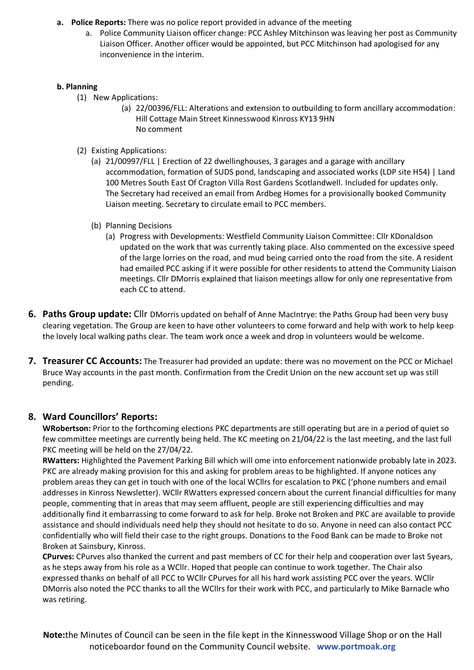- **a. Police Reports:** There was no police report provided in advance of the meeting
	- a. Police Community Liaison officer change: PCC Ashley Mitchinson was leaving her post as Community Liaison Officer. Another officer would be appointed, but PCC Mitchinson had apologised for any inconvenience in the interim.

#### **b. Planning**

- (1) New Applications:
	- (a) 22/00396/FLL: Alterations and extension to outbuilding to form ancillary accommodation: Hill Cottage Main Street Kinnesswood Kinross KY13 9HN No comment
- (2) Existing Applications:
	- (a) 21/00997/FLL | Erection of 22 dwellinghouses, 3 garages and a garage with ancillary accommodation, formation of SUDS pond, landscaping and associated works (LDP site H54) | Land 100 Metres South East Of Cragton Villa Rost Gardens Scotlandwell. Included for updates only. The Secretary had received an email from Ardbeg Homes for a provisionally booked Community Liaison meeting. Secretary to circulate email to PCC members.
	- (b) Planning Decisions
		- (a) Progress with Developments: Westfield Community Liaison Committee: Cllr KDonaldson updated on the work that was currently taking place. Also commented on the excessive speed of the large lorries on the road, and mud being carried onto the road from the site. A resident had emailed PCC asking if it were possible for other residents to attend the Community Liaison meetings. Cllr DMorris explained that liaison meetings allow for only one representative from each CC to attend.
- **6. Paths Group update:** Cllr DMorris updated on behalf of Anne MacIntrye: the Paths Group had been very busy clearing vegetation. The Group are keen to have other volunteers to come forward and help with work to help keep the lovely local walking paths clear. The team work once a week and drop in volunteers would be welcome.
- **7. Treasurer CC Accounts:** The Treasurer had provided an update: there was no movement on the PCC or Michael Bruce Way accounts in the past month. Confirmation from the Credit Union on the new account set up was still pending.

# **8. Ward Councillors' Reports:**

**WRobertson:** Prior to the forthcoming elections PKC departments are still operating but are in a period of quiet so few committee meetings are currently being held. The KC meeting on 21/04/22 is the last meeting, and the last full PKC meeting will be held on the 27/04/22.

**RWatters:** Highlighted the Pavement Parking Bill which will ome into enforcement nationwide probably late in 2023. PKC are already making provision for this and asking for problem areas to be highlighted. If anyone notices any problem areas they can get in touch with one of the local WCllrs for escalation to PKC ('phone numbers and email addresses in Kinross Newsletter). WCllr RWatters expressed concern about the current financial difficulties for many people, commenting that in areas that may seem affluent, people are still experiencing difficulties and may additionally find it embarrassing to come forward to ask for help. Broke not Broken and PKC are available to provide assistance and should individuals need help they should not hesitate to do so. Anyone in need can also contact PCC confidentially who will field their case to the right groups. Donations to the Food Bank can be made to Broke not Broken at Sainsbury, Kinross.

**CPurves:** CPurves also thanked the current and past members of CC for their help and cooperation over last 5years, as he steps away from his role as a WCllr. Hoped that people can continue to work together. The Chair also expressed thanks on behalf of all PCC to WCllr CPurves for all his hard work assisting PCC over the years. WCllr DMorris also noted the PCC thanks to all the WCllrs for their work with PCC, and particularly to Mike Barnacle who was retiring.

**Note:**the Minutes of Council can be seen in the file kept in the Kinnesswood Village Shop or on the Hall noticeboardor found on the Community Council website. **www.portmoak.org**